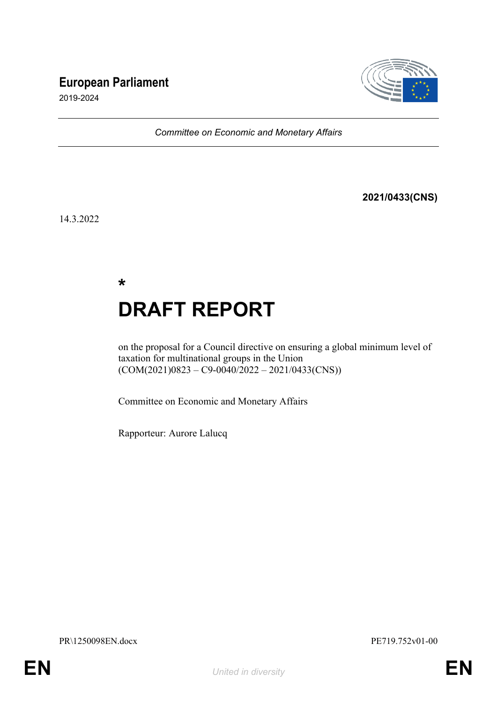# **European Parliament**



2019-2024

*Committee on Economic and Monetary Affairs*

**2021/0433(CNS)**

14.3.2022

**\* DRAFT REPORT**

on the proposal for a Council directive on ensuring a global minimum level of taxation for multinational groups in the Union  $(COM(2021)0823 - C9 - 0040/2022 - 2021/0433(CNS))$ 

Committee on Economic and Monetary Affairs

Rapporteur: Aurore Lalucq

PR\1250098EN.docx PE719.752v01-00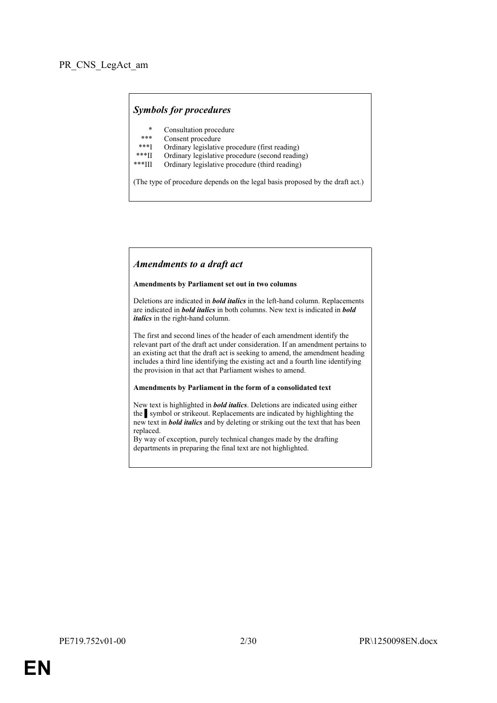# *Symbols for procedures*

- \* Consultation procedure
- Consent procedure
- \*\*\*I Ordinary legislative procedure (first reading)<br>\*\*\*II Ordinary legislative procedure (second reading)
- \*\*\*II Ordinary legislative procedure (second reading)<br>\*\*\*III Ordinary legislative procedure (third reading)
- Ordinary legislative procedure (third reading)

(The type of procedure depends on the legal basis proposed by the draft act.)

#### *Amendments to a draft act*

#### **Amendments by Parliament set out in two columns**

Deletions are indicated in *bold italics* in the left-hand column. Replacements are indicated in *bold italics* in both columns. New text is indicated in *bold italics* in the right-hand column.

The first and second lines of the header of each amendment identify the relevant part of the draft act under consideration. If an amendment pertains to an existing act that the draft act is seeking to amend, the amendment heading includes a third line identifying the existing act and a fourth line identifying the provision in that act that Parliament wishes to amend.

#### **Amendments by Parliament in the form of a consolidated text**

New text is highlighted in *bold italics*. Deletions are indicated using either the symbol or strikeout. Replacements are indicated by highlighting the new text in *bold italics* and by deleting or striking out the text that has been replaced.

By way of exception, purely technical changes made by the drafting departments in preparing the final text are not highlighted.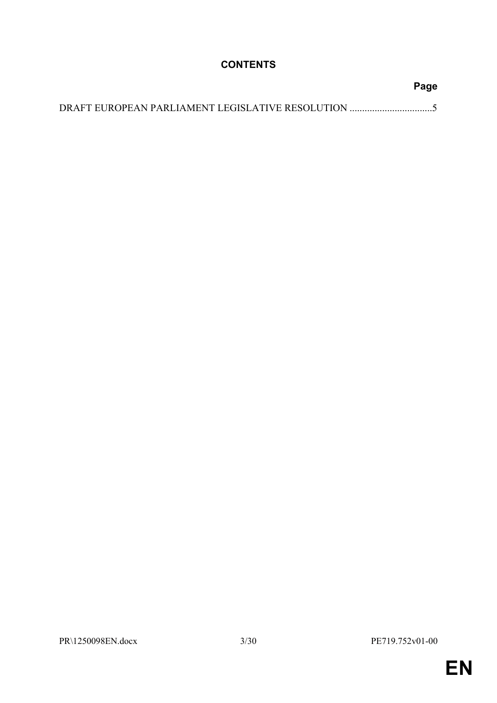# **CONTENTS**

| Page |
|------|
|      |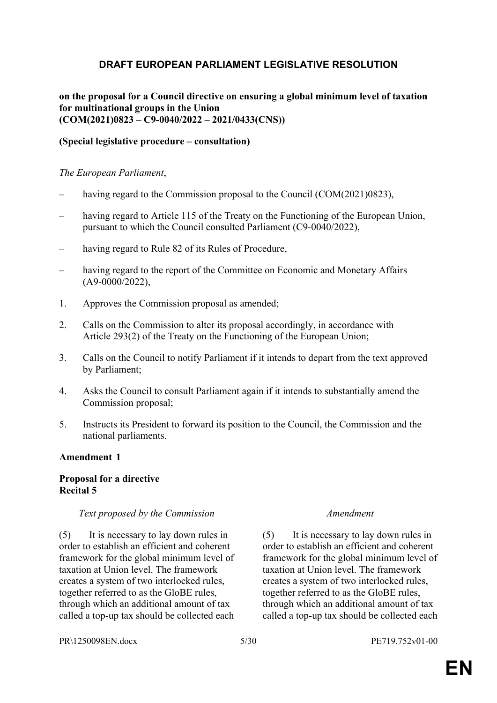# <span id="page-4-0"></span>**DRAFT EUROPEAN PARLIAMENT LEGISLATIVE RESOLUTION**

**on the proposal for a Council directive on ensuring a global minimum level of taxation for multinational groups in the Union (COM(2021)0823 – C9-0040/2022 – 2021/0433(CNS))**

# **(Special legislative procedure – consultation)**

### *The European Parliament*,

- having regard to the Commission proposal to the Council (COM(2021)0823),
- having regard to Article 115 of the Treaty on the Functioning of the European Union, pursuant to which the Council consulted Parliament (C9-0040/2022),
- having regard to Rule 82 of its Rules of Procedure,
- having regard to the report of the Committee on Economic and Monetary Affairs (A9-0000/2022),
- 1. Approves the Commission proposal as amended;
- 2. Calls on the Commission to alter its proposal accordingly, in accordance with Article 293(2) of the Treaty on the Functioning of the European Union;
- 3. Calls on the Council to notify Parliament if it intends to depart from the text approved by Parliament;
- 4. Asks the Council to consult Parliament again if it intends to substantially amend the Commission proposal;
- 5. Instructs its President to forward its position to the Council, the Commission and the national parliaments.

#### **Amendment 1**

# **Proposal for a directive Recital 5**

#### *Text proposed by the Commission Amendment*

(5) It is necessary to lay down rules in order to establish an efficient and coherent framework for the global minimum level of taxation at Union level. The framework creates a system of two interlocked rules, together referred to as the GloBE rules, through which an additional amount of tax called a top-up tax should be collected each

(5) It is necessary to lay down rules in order to establish an efficient and coherent framework for the global minimum level of taxation at Union level. The framework creates a system of two interlocked rules, together referred to as the GloBE rules, through which an additional amount of tax called a top-up tax should be collected each

PR\1250098EN.docx 5/30 PE719.752v01-00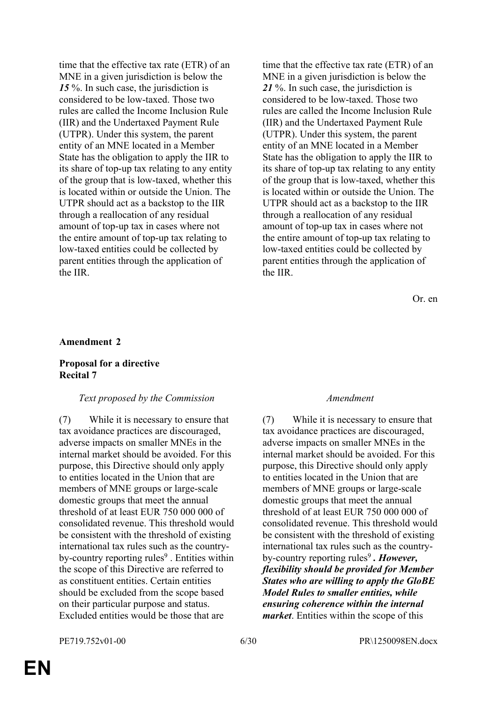time that the effective tax rate (ETR) of an MNE in a given jurisdiction is below the 15<sup>%</sup>. In such case, the jurisdiction is considered to be low-taxed. Those two rules are called the Income Inclusion Rule (IIR) and the Undertaxed Payment Rule (UTPR). Under this system, the parent entity of an MNE located in a Member State has the obligation to apply the IIR to its share of top-up tax relating to any entity of the group that is low-taxed, whether this is located within or outside the Union. The UTPR should act as a backstop to the IIR through a reallocation of any residual amount of top-up tax in cases where not the entire amount of top-up tax relating to low-taxed entities could be collected by parent entities through the application of the IIR.

time that the effective tax rate (ETR) of an MNE in a given jurisdiction is below the *21* %. In such case, the jurisdiction is considered to be low-taxed. Those two rules are called the Income Inclusion Rule (IIR) and the Undertaxed Payment Rule (UTPR). Under this system, the parent entity of an MNE located in a Member State has the obligation to apply the IIR to its share of top-up tax relating to any entity of the group that is low-taxed, whether this is located within or outside the Union. The UTPR should act as a backstop to the IIR through a reallocation of any residual amount of top-up tax in cases where not the entire amount of top-up tax relating to low-taxed entities could be collected by parent entities through the application of the IIR.

Or. en

#### **Amendment 2**

### **Proposal for a directive Recital 7**

#### *Text proposed by the Commission Amendment*

(7) While it is necessary to ensure that tax avoidance practices are discouraged, adverse impacts on smaller MNEs in the internal market should be avoided. For this purpose, this Directive should only apply to entities located in the Union that are members of MNE groups or large-scale domestic groups that meet the annual threshold of at least EUR 750 000 000 of consolidated revenue. This threshold would be consistent with the threshold of existing international tax rules such as the countryby-country reporting rules<sup>9</sup>. Entities within the scope of this Directive are referred to as constituent entities. Certain entities should be excluded from the scope based on their particular purpose and status. Excluded entities would be those that are

(7) While it is necessary to ensure that tax avoidance practices are discouraged, adverse impacts on smaller MNEs in the internal market should be avoided. For this purpose, this Directive should only apply to entities located in the Union that are members of MNE groups or large-scale domestic groups that meet the annual threshold of at least EUR 750 000 000 of consolidated revenue. This threshold would be consistent with the threshold of existing international tax rules such as the countryby-country reporting rules<sup>9</sup>. However, *flexibility should be provided for Member States who are willing to apply the GloBE Model Rules to smaller entities, while ensuring coherence within the internal market*. Entities within the scope of this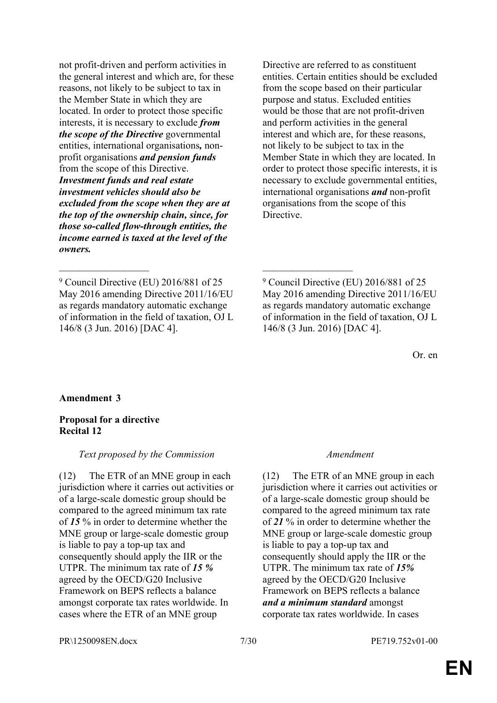not profit-driven and perform activities in the general interest and which are, for these reasons, not likely to be subject to tax in the Member State in which they are located. In order to protect those specific interests, it is necessary to exclude *from the scope of the Directive* governmental entities, international organisations*,* nonprofit organisations *and pension funds* from the scope of this Directive. *Investment funds and real estate investment vehicles should also be excluded from the scope when they are at the top of the ownership chain, since, for those so-called flow-through entities, the income earned is taxed at the level of the owners.*

 $\mathcal{L}_\text{max}$  , and the contract of the contract of the contract of the contract of the contract of the contract of

Directive are referred to as constituent entities. Certain entities should be excluded from the scope based on their particular purpose and status. Excluded entities would be those that are not profit-driven and perform activities in the general interest and which are, for these reasons, not likely to be subject to tax in the Member State in which they are located. In order to protect those specific interests, it is necessary to exclude governmental entities, international organisations *and* non-profit organisations from the scope of this Directive.

Or. en

### **Amendment 3**

#### **Proposal for a directive Recital 12**

### *Text proposed by the Commission Amendment*

(12) The ETR of an MNE group in each jurisdiction where it carries out activities or of a large-scale domestic group should be compared to the agreed minimum tax rate of *15* % in order to determine whether the MNE group or large-scale domestic group is liable to pay a top-up tax and consequently should apply the IIR or the UTPR. The minimum tax rate of *15 %* agreed by the OECD/G20 Inclusive Framework on BEPS reflects a balance amongst corporate tax rates worldwide. In cases where the ETR of an MNE group

(12) The ETR of an MNE group in each jurisdiction where it carries out activities or of a large-scale domestic group should be compared to the agreed minimum tax rate of *21* % in order to determine whether the MNE group or large-scale domestic group is liable to pay a top-up tax and consequently should apply the IIR or the UTPR. The minimum tax rate of *15%* agreed by the OECD/G20 Inclusive Framework on BEPS reflects a balance *and a minimum standard* amongst corporate tax rates worldwide. In cases

PR\1250098EN.docx 7/30 PE719.752v01-00

<sup>9</sup> Council Directive (EU) 2016/881 of 25 May 2016 amending Directive 2011/16/EU as regards mandatory automatic exchange of information in the field of taxation, OJ L 146/8 (3 Jun. 2016) [DAC 4].

<sup>9</sup> Council Directive (EU) 2016/881 of 25 May 2016 amending Directive 2011/16/EU as regards mandatory automatic exchange of information in the field of taxation, OJ L 146/8 (3 Jun. 2016) [DAC 4].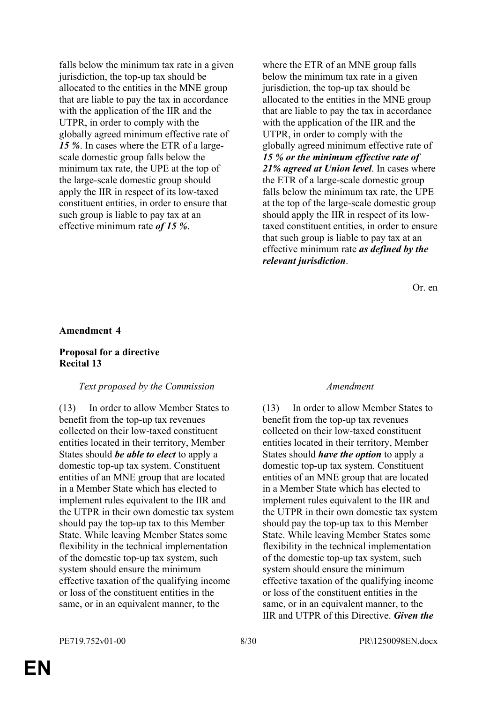falls below the minimum tax rate in a given jurisdiction, the top-up tax should be allocated to the entities in the MNE group that are liable to pay the tax in accordance with the application of the IIR and the UTPR, in order to comply with the globally agreed minimum effective rate of *15 %*. In cases where the ETR of a largescale domestic group falls below the minimum tax rate, the UPE at the top of the large-scale domestic group should apply the IIR in respect of its low-taxed constituent entities, in order to ensure that such group is liable to pay tax at an effective minimum rate *of 15 %*.

where the ETR of an MNE group falls below the minimum tax rate in a given jurisdiction, the top-up tax should be allocated to the entities in the MNE group that are liable to pay the tax in accordance with the application of the IIR and the UTPR, in order to comply with the globally agreed minimum effective rate of *15 % or the minimum effective rate of 21% agreed at Union level*. In cases where the ETR of a large-scale domestic group falls below the minimum tax rate, the UPE at the top of the large-scale domestic group should apply the IIR in respect of its lowtaxed constituent entities, in order to ensure that such group is liable to pay tax at an effective minimum rate *as defined by the relevant jurisdiction*.

Or. en

#### **Amendment 4**

#### **Proposal for a directive Recital 13**

#### *Text proposed by the Commission Amendment*

(13) In order to allow Member States to benefit from the top-up tax revenues collected on their low-taxed constituent entities located in their territory, Member States should *be able to elect* to apply a domestic top-up tax system. Constituent entities of an MNE group that are located in a Member State which has elected to implement rules equivalent to the IIR and the UTPR in their own domestic tax system should pay the top-up tax to this Member State. While leaving Member States some flexibility in the technical implementation of the domestic top-up tax system, such system should ensure the minimum effective taxation of the qualifying income or loss of the constituent entities in the same, or in an equivalent manner, to the

(13) In order to allow Member States to benefit from the top-up tax revenues collected on their low-taxed constituent entities located in their territory, Member States should *have the option* to apply a domestic top-up tax system. Constituent entities of an MNE group that are located in a Member State which has elected to implement rules equivalent to the IIR and the UTPR in their own domestic tax system should pay the top-up tax to this Member State. While leaving Member States some flexibility in the technical implementation of the domestic top-up tax system, such system should ensure the minimum effective taxation of the qualifying income or loss of the constituent entities in the same, or in an equivalent manner, to the IIR and UTPR of this Directive. *Given the*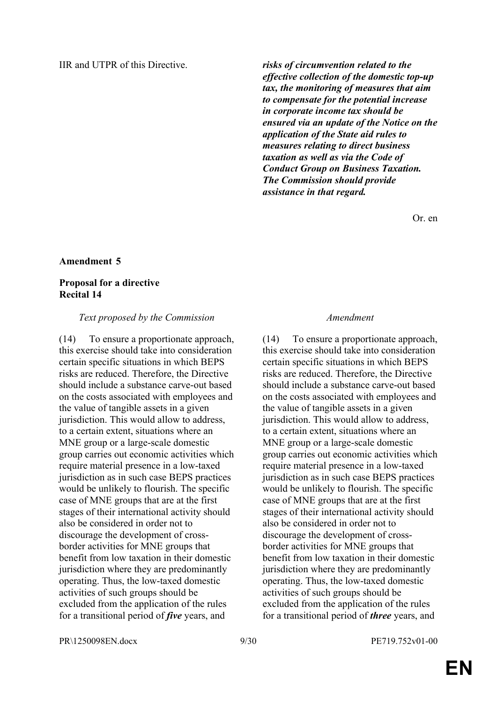IIR and UTPR of this Directive. *risks of circumvention related to the effective collection of the domestic top-up tax, the monitoring of measures that aim to compensate for the potential increase in corporate income tax should be ensured via an update of the Notice on the application of the State aid rules to measures relating to direct business taxation as well as via the Code of Conduct Group on Business Taxation. The Commission should provide assistance in that regard.*

Or. en

#### **Amendment 5**

### **Proposal for a directive Recital 14**

#### *Text proposed by the Commission Amendment*

(14) To ensure a proportionate approach, this exercise should take into consideration certain specific situations in which BEPS risks are reduced. Therefore, the Directive should include a substance carve-out based on the costs associated with employees and the value of tangible assets in a given jurisdiction. This would allow to address, to a certain extent, situations where an MNE group or a large-scale domestic group carries out economic activities which require material presence in a low-taxed jurisdiction as in such case BEPS practices would be unlikely to flourish. The specific case of MNE groups that are at the first stages of their international activity should also be considered in order not to discourage the development of crossborder activities for MNE groups that benefit from low taxation in their domestic jurisdiction where they are predominantly operating. Thus, the low-taxed domestic activities of such groups should be excluded from the application of the rules for a transitional period of *five* years, and

(14) To ensure a proportionate approach, this exercise should take into consideration certain specific situations in which BEPS risks are reduced. Therefore, the Directive should include a substance carve-out based on the costs associated with employees and the value of tangible assets in a given jurisdiction. This would allow to address, to a certain extent, situations where an MNE group or a large-scale domestic group carries out economic activities which require material presence in a low-taxed jurisdiction as in such case BEPS practices would be unlikely to flourish. The specific case of MNE groups that are at the first stages of their international activity should also be considered in order not to discourage the development of crossborder activities for MNE groups that benefit from low taxation in their domestic jurisdiction where they are predominantly operating. Thus, the low-taxed domestic activities of such groups should be excluded from the application of the rules for a transitional period of *three* years, and

PR\1250098EN.docx 9/30 PE719.752v01-00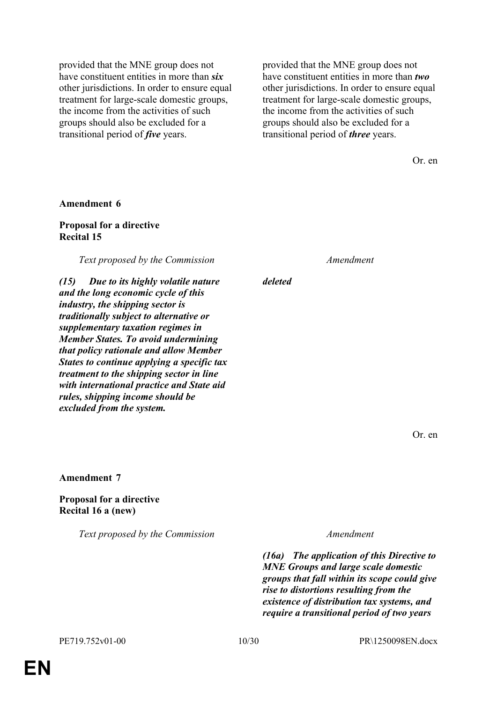provided that the MNE group does not have constituent entities in more than *six* other jurisdictions. In order to ensure equal treatment for large-scale domestic groups, the income from the activities of such groups should also be excluded for a transitional period of *five* years.

provided that the MNE group does not have constituent entities in more than *two* other jurisdictions. In order to ensure equal treatment for large-scale domestic groups, the income from the activities of such groups should also be excluded for a transitional period of *three* years.

Or. en

#### **Amendment 6**

#### **Proposal for a directive Recital 15**

*Text proposed by the Commission Amendment*

*(15) Due to its highly volatile nature and the long economic cycle of this industry, the shipping sector is traditionally subject to alternative or supplementary taxation regimes in Member States. To avoid undermining that policy rationale and allow Member States to continue applying a specific tax treatment to the shipping sector in line with international practice and State aid rules, shipping income should be excluded from the system.*

*deleted*

Or. en

**Amendment 7**

**Proposal for a directive Recital 16 a (new)**

*Text proposed by the Commission Amendment*

*(16a) The application of this Directive to MNE Groups and large scale domestic groups that fall within its scope could give rise to distortions resulting from the existence of distribution tax systems, and require a transitional period of two years*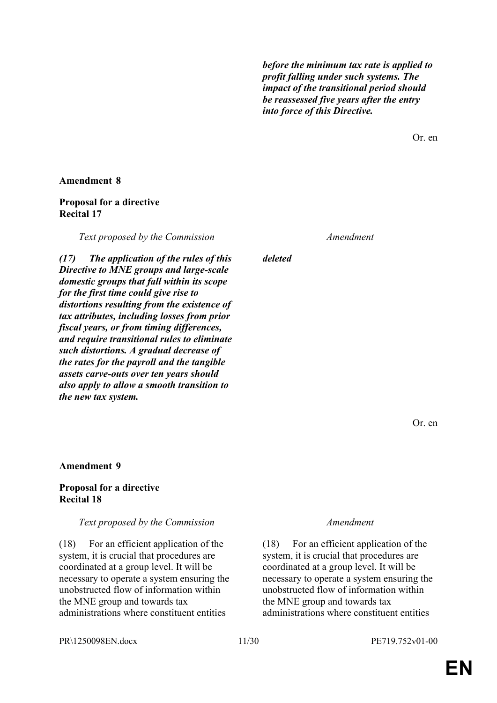*before the minimum tax rate is applied to profit falling under such systems. The impact of the transitional period should be reassessed five years after the entry into force of this Directive.*

Or. en

### **Amendment 8**

# **Proposal for a directive Recital 17**

*Text proposed by the Commission Amendment*

*(17) The application of the rules of this Directive to MNE groups and large-scale domestic groups that fall within its scope for the first time could give rise to distortions resulting from the existence of tax attributes, including losses from prior fiscal years, or from timing differences, and require transitional rules to eliminate such distortions. A gradual decrease of the rates for the payroll and the tangible assets carve-outs over ten years should also apply to allow a smooth transition to the new tax system.*

### **Amendment 9**

# **Proposal for a directive Recital 18**

### *Text proposed by the Commission Amendment*

(18) For an efficient application of the system, it is crucial that procedures are coordinated at a group level. It will be necessary to operate a system ensuring the unobstructed flow of information within the MNE group and towards tax administrations where constituent entities

*deleted*

(18) For an efficient application of the system, it is crucial that procedures are coordinated at a group level. It will be necessary to operate a system ensuring the unobstructed flow of information within the MNE group and towards tax administrations where constituent entities

PR\1250098EN.docx 11/30 PE719.752v01-00

Or. en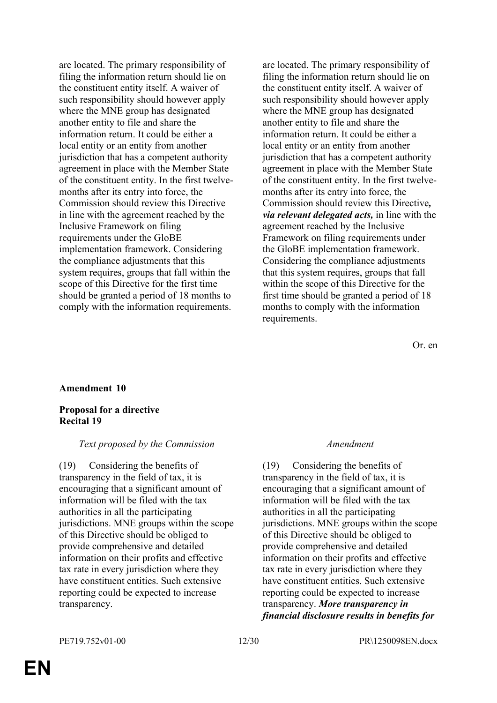are located. The primary responsibility of filing the information return should lie on the constituent entity itself. A waiver of such responsibility should however apply where the MNE group has designated another entity to file and share the information return. It could be either a local entity or an entity from another jurisdiction that has a competent authority agreement in place with the Member State of the constituent entity. In the first twelvemonths after its entry into force, the Commission should review this Directive in line with the agreement reached by the Inclusive Framework on filing requirements under the GloBE implementation framework. Considering the compliance adjustments that this system requires, groups that fall within the scope of this Directive for the first time should be granted a period of 18 months to comply with the information requirements.

are located. The primary responsibility of filing the information return should lie on the constituent entity itself. A waiver of such responsibility should however apply where the MNE group has designated another entity to file and share the information return. It could be either a local entity or an entity from another jurisdiction that has a competent authority agreement in place with the Member State of the constituent entity. In the first twelvemonths after its entry into force, the Commission should review this Directive*, via relevant delegated acts,* in line with the agreement reached by the Inclusive Framework on filing requirements under the GloBE implementation framework. Considering the compliance adjustments that this system requires, groups that fall within the scope of this Directive for the first time should be granted a period of 18 months to comply with the information requirements.

Or. en

#### **Amendment 10**

### **Proposal for a directive Recital 19**

#### *Text proposed by the Commission Amendment*

(19) Considering the benefits of transparency in the field of tax, it is encouraging that a significant amount of information will be filed with the tax authorities in all the participating jurisdictions. MNE groups within the scope of this Directive should be obliged to provide comprehensive and detailed information on their profits and effective tax rate in every jurisdiction where they have constituent entities. Such extensive reporting could be expected to increase transparency.

(19) Considering the benefits of transparency in the field of tax, it is encouraging that a significant amount of information will be filed with the tax authorities in all the participating jurisdictions. MNE groups within the scope of this Directive should be obliged to provide comprehensive and detailed information on their profits and effective tax rate in every jurisdiction where they have constituent entities. Such extensive reporting could be expected to increase transparency. *More transparency in financial disclosure results in benefits for*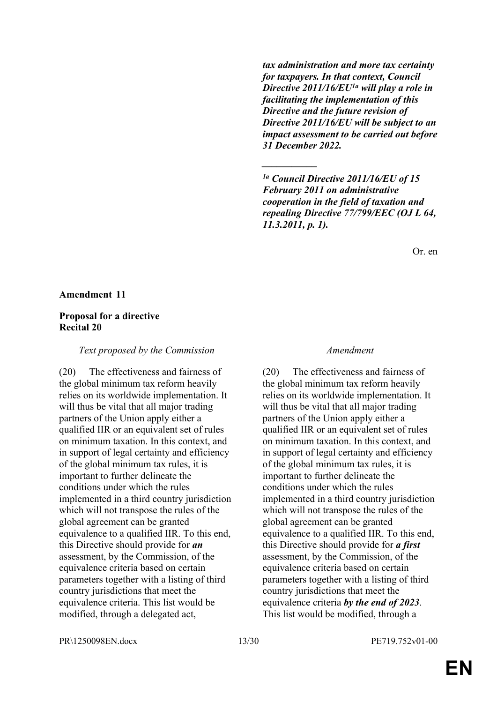*tax administration and more tax certainty for taxpayers. In that context, Council Directive 2011/16/EU1a will play a role in facilitating the implementation of this Directive and the future revision of Directive 2011/16/EU will be subject to an impact assessment to be carried out before 31 December 2022.*

*1a Council Directive 2011/16/EU of 15 February 2011 on administrative cooperation in the field of taxation and repealing Directive 77/799/EEC (OJ L 64, 11.3.2011, p. 1).*

*\_\_\_\_\_\_\_\_\_\_\_*

Or. en

#### **Amendment 11**

### **Proposal for a directive Recital 20**

*Text proposed by the Commission Amendment*

(20) The effectiveness and fairness of the global minimum tax reform heavily relies on its worldwide implementation. It will thus be vital that all major trading partners of the Union apply either a qualified IIR or an equivalent set of rules on minimum taxation. In this context, and in support of legal certainty and efficiency of the global minimum tax rules, it is important to further delineate the conditions under which the rules implemented in a third country jurisdiction which will not transpose the rules of the global agreement can be granted equivalence to a qualified IIR. To this end, this Directive should provide for *an* assessment, by the Commission, of the equivalence criteria based on certain parameters together with a listing of third country jurisdictions that meet the equivalence criteria. This list would be modified, through a delegated act,

(20) The effectiveness and fairness of the global minimum tax reform heavily relies on its worldwide implementation. It will thus be vital that all major trading partners of the Union apply either a qualified IIR or an equivalent set of rules on minimum taxation. In this context, and in support of legal certainty and efficiency of the global minimum tax rules, it is important to further delineate the conditions under which the rules implemented in a third country jurisdiction which will not transpose the rules of the global agreement can be granted equivalence to a qualified IIR. To this end, this Directive should provide for *a first* assessment, by the Commission, of the equivalence criteria based on certain parameters together with a listing of third country jurisdictions that meet the equivalence criteria *by the end of 2023*. This list would be modified, through a

PR\1250098EN.docx 13/30 PE719.752v01-00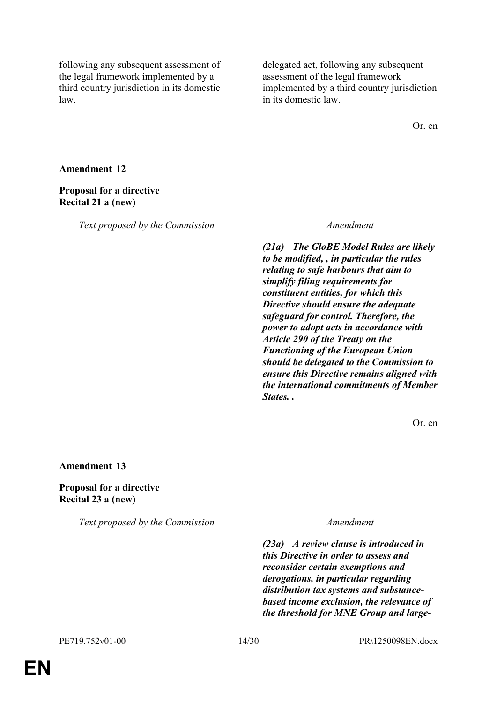following any subsequent assessment of the legal framework implemented by a third country jurisdiction in its domestic law.

delegated act, following any subsequent assessment of the legal framework implemented by a third country jurisdiction in its domestic law.

Or. en

#### **Amendment 12**

#### **Proposal for a directive Recital 21 a (new)**

*Text proposed by the Commission Amendment*

*(21a) The GloBE Model Rules are likely to be modified, , in particular the rules relating to safe harbours that aim to simplify filing requirements for constituent entities, for which this Directive should ensure the adequate safeguard for control. Therefore, the power to adopt acts in accordance with Article 290 of the Treaty on the Functioning of the European Union should be delegated to the Commission to ensure this Directive remains aligned with the international commitments of Member States. .*

Or. en

#### **Amendment 13**

# **Proposal for a directive Recital 23 a (new)**

*Text proposed by the Commission Amendment*

*(23a) A review clause is introduced in this Directive in order to assess and reconsider certain exemptions and derogations, in particular regarding distribution tax systems and substancebased income exclusion, the relevance of the threshold for MNE Group and large-*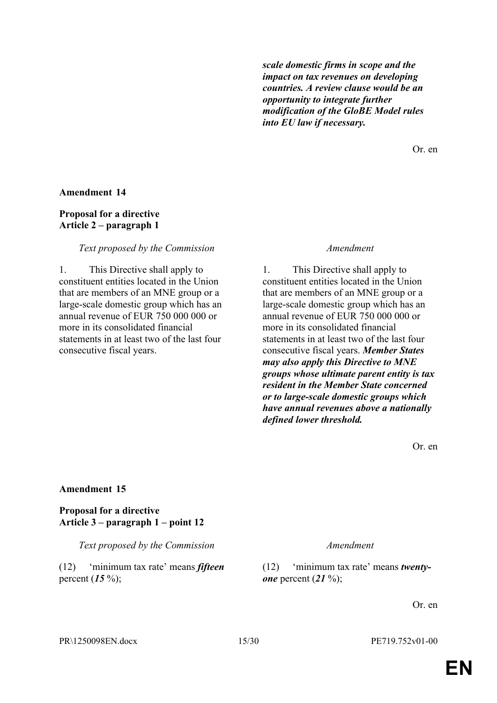*scale domestic firms in scope and the impact on tax revenues on developing countries. A review clause would be an opportunity to integrate further modification of the GloBE Model rules into EU law if necessary.*

Or. en

#### **Amendment 14**

### **Proposal for a directive Article 2 – paragraph 1**

#### *Text proposed by the Commission Amendment*

1. This Directive shall apply to constituent entities located in the Union that are members of an MNE group or a large-scale domestic group which has an annual revenue of EUR 750 000 000 or more in its consolidated financial statements in at least two of the last four consecutive fiscal years.

1. This Directive shall apply to constituent entities located in the Union that are members of an MNE group or a large-scale domestic group which has an annual revenue of EUR 750 000 000 or more in its consolidated financial statements in at least two of the last four consecutive fiscal years. *Member States may also apply this Directive to MNE groups whose ultimate parent entity is tax resident in the Member State concerned or to large-scale domestic groups which have annual revenues above a nationally defined lower threshold.*

Or. en

#### **Amendment 15**

**Proposal for a directive Article 3 – paragraph 1 – point 12**

*Text proposed by the Commission Amendment*

(12) 'minimum tax rate' means *fifteen* percent (*15* %);

(12) 'minimum tax rate' means *twentyone* percent (*21* %);

Or. en

PR\1250098EN.docx 15/30 PE719.752v01-00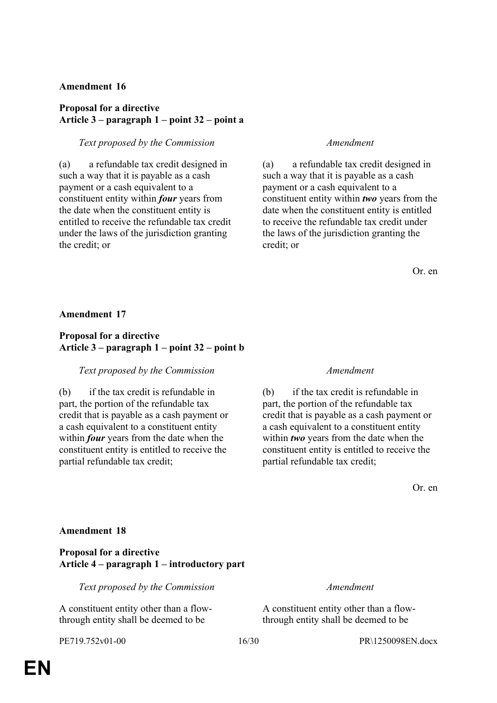### **Amendment 16**

# **Proposal for a directive Article 3 – paragraph 1 – point 32 – point a**

### *Text proposed by the Commission Amendment*

(a) a refundable tax credit designed in such a way that it is payable as a cash payment or a cash equivalent to a constituent entity within *four* years from the date when the constituent entity is entitled to receive the refundable tax credit under the laws of the jurisdiction granting the credit; or

(a) a refundable tax credit designed in such a way that it is payable as a cash payment or a cash equivalent to a constituent entity within *two* years from the date when the constituent entity is entitled to receive the refundable tax credit under the laws of the jurisdiction granting the credit; or

Or. en

**Amendment 17**

# **Proposal for a directive Article 3 – paragraph 1 – point 32 – point b**

### *Text proposed by the Commission Amendment*

(b) if the tax credit is refundable in part, the portion of the refundable tax credit that is payable as a cash payment or a cash equivalent to a constituent entity within *four* years from the date when the constituent entity is entitled to receive the partial refundable tax credit;

(b) if the tax credit is refundable in part, the portion of the refundable tax credit that is payable as a cash payment or a cash equivalent to a constituent entity within *two* years from the date when the constituent entity is entitled to receive the partial refundable tax credit;

Or. en

#### **Amendment 18**

**Proposal for a directive Article 4 – paragraph 1 – introductory part**

*Text proposed by the Commission Amendment*

A constituent entity other than a flowthrough entity shall be deemed to be

A constituent entity other than a flowthrough entity shall be deemed to be

PE719.752v01-00 16/30 PR\1250098EN.docx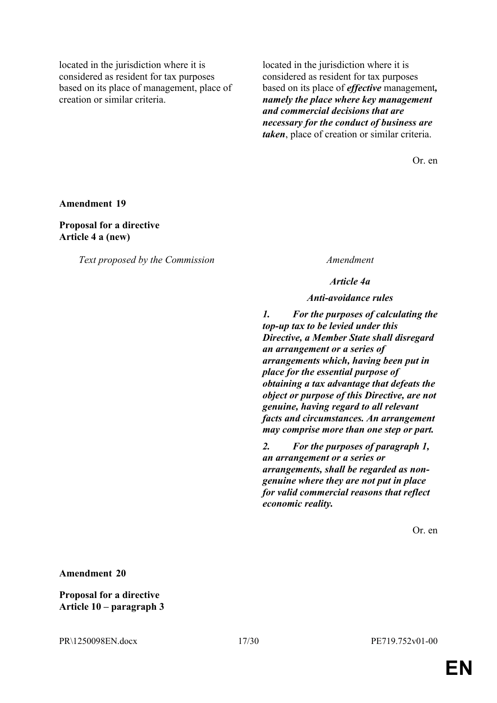located in the jurisdiction where it is considered as resident for tax purposes based on its place of management, place of creation or similar criteria.

located in the jurisdiction where it is considered as resident for tax purposes based on its place of *effective* management*, namely the place where key management and commercial decisions that are necessary for the conduct of business are taken*, place of creation or similar criteria.

Or. en

**Amendment 19**

**Proposal for a directive Article 4 a (new)**

*Text proposed by the Commission Amendment*

*Article 4a*

*Anti-avoidance rules*

*1. For the purposes of calculating the top-up tax to be levied under this Directive, a Member State shall disregard an arrangement or a series of arrangements which, having been put in place for the essential purpose of obtaining a tax advantage that defeats the object or purpose of this Directive, are not genuine, having regard to all relevant facts and circumstances. An arrangement may comprise more than one step or part.*

*2. For the purposes of paragraph 1, an arrangement or a series or arrangements, shall be regarded as nongenuine where they are not put in place for valid commercial reasons that reflect economic reality.*

Or. en

**Amendment 20**

**Proposal for a directive Article 10 – paragraph 3**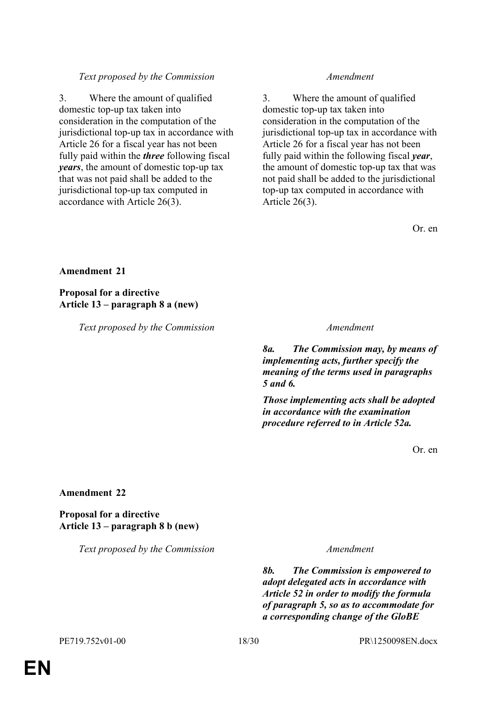# *Text proposed by the Commission Amendment*

3. Where the amount of qualified domestic top-up tax taken into consideration in the computation of the jurisdictional top-up tax in accordance with Article 26 for a fiscal year has not been fully paid within the *three* following fiscal *years*, the amount of domestic top-up tax that was not paid shall be added to the jurisdictional top-up tax computed in accordance with Article 26(3).

3. Where the amount of qualified domestic top-up tax taken into consideration in the computation of the jurisdictional top-up tax in accordance with Article 26 for a fiscal year has not been fully paid within the following fiscal *year*, the amount of domestic top-up tax that was not paid shall be added to the jurisdictional top-up tax computed in accordance with Article 26(3).

Or. en

### **Amendment 21**

**Proposal for a directive Article 13 – paragraph 8 a (new)**

*Text proposed by the Commission Amendment*

*8a. The Commission may, by means of implementing acts, further specify the meaning of the terms used in paragraphs 5 and 6.*

*Those implementing acts shall be adopted in accordance with the examination procedure referred to in Article 52a.* 

Or. en

#### **Amendment 22**

**Proposal for a directive Article 13 – paragraph 8 b (new)**

*Text proposed by the Commission Amendment*

*8b. The Commission is empowered to adopt delegated acts in accordance with Article 52 in order to modify the formula of paragraph 5, so as to accommodate for a corresponding change of the GloBE*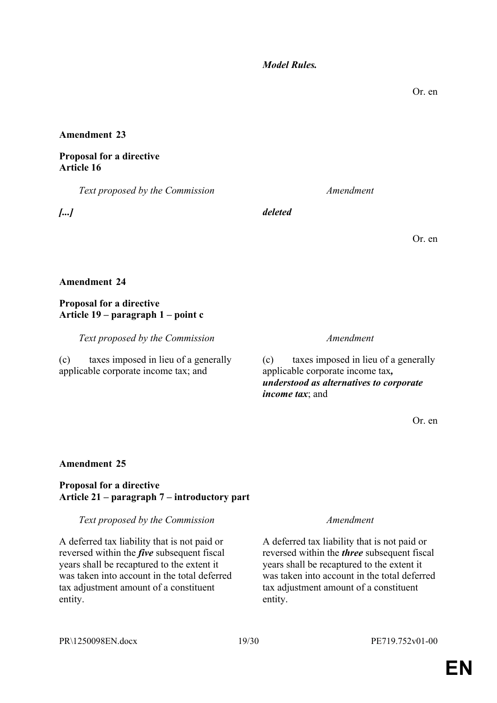*Model Rules.*

# **Amendment 23**

# **Proposal for a directive Article 16**

*Text proposed by the Commission Amendment*

*[...] deleted*

**Amendment 24**

# **Proposal for a directive Article 19 – paragraph 1 – point c**

*Text proposed by the Commission Amendment*

(c) taxes imposed in lieu of a generally applicable corporate income tax; and

(c) taxes imposed in lieu of a generally applicable corporate income tax*, understood as alternatives to corporate income tax*; and

Or. en

# **Amendment 25**

# **Proposal for a directive Article 21 – paragraph 7 – introductory part**

# *Text proposed by the Commission Amendment*

A deferred tax liability that is not paid or reversed within the *five* subsequent fiscal years shall be recaptured to the extent it was taken into account in the total deferred tax adjustment amount of a constituent entity.

A deferred tax liability that is not paid or reversed within the *three* subsequent fiscal years shall be recaptured to the extent it was taken into account in the total deferred tax adjustment amount of a constituent entity.

Or. en

Or. en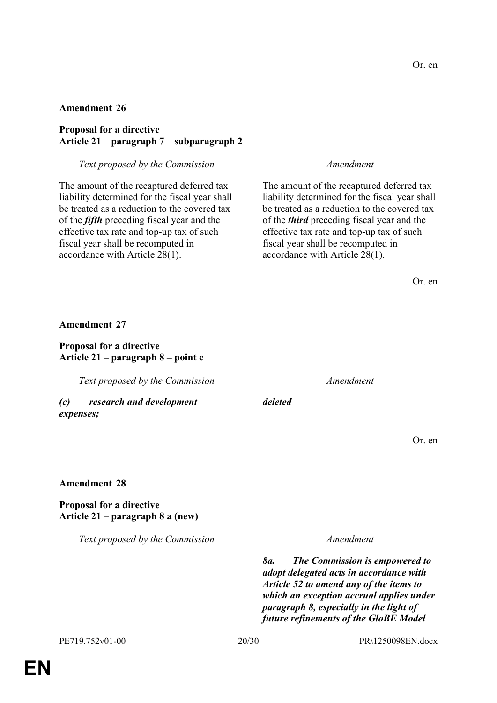### **Amendment 26**

# **Proposal for a directive Article 21 – paragraph 7 – subparagraph 2**

### *Text proposed by the Commission Amendment*

The amount of the recaptured deferred tax liability determined for the fiscal year shall be treated as a reduction to the covered tax of the *fifth* preceding fiscal year and the effective tax rate and top-up tax of such fiscal year shall be recomputed in accordance with Article 28(1).

The amount of the recaptured deferred tax liability determined for the fiscal year shall be treated as a reduction to the covered tax of the *third* preceding fiscal year and the effective tax rate and top-up tax of such fiscal year shall be recomputed in accordance with Article 28(1).

| <b>Amendment 27</b> |
|---------------------|
|---------------------|

### **Proposal for a directive Article 21 – paragraph 8 – point c**

*Text proposed by the Commission Amendment*

*(c) research and development expenses;*

*deleted*

Or. en

#### **Amendment 28**

### **Proposal for a directive Article 21 – paragraph 8 a (new)**

*Text proposed by the Commission Amendment*

*8a. The Commission is empowered to adopt delegated acts in accordance with Article 52 to amend any of the items to which an exception accrual applies under paragraph 8, especially in the light of future refinements of the GloBE Model*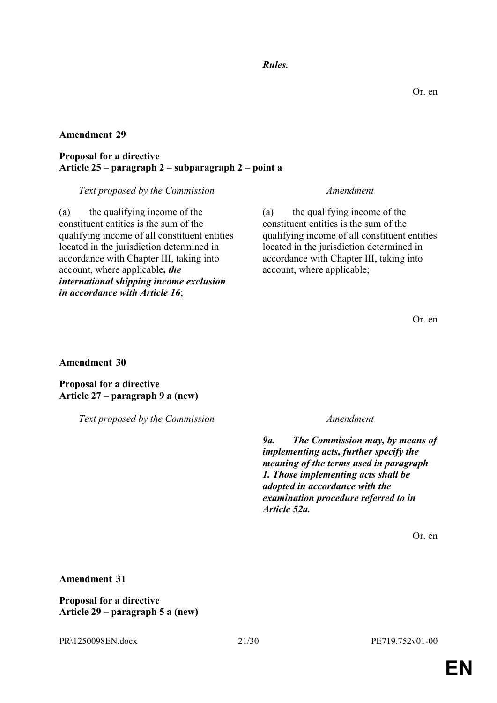# *Rules.*

## **Amendment 29**

### **Proposal for a directive Article 25 – paragraph 2 – subparagraph 2 – point a**

#### *Text proposed by the Commission Amendment*

(a) the qualifying income of the constituent entities is the sum of the qualifying income of all constituent entities located in the jurisdiction determined in accordance with Chapter III, taking into account, where applicable*, the international shipping income exclusion in accordance with Article 16*;

(a) the qualifying income of the constituent entities is the sum of the qualifying income of all constituent entities located in the jurisdiction determined in accordance with Chapter III, taking into account, where applicable;

Or. en

**Amendment 30**

**Proposal for a directive Article 27 – paragraph 9 a (new)**

*Text proposed by the Commission Amendment*

*9a. The Commission may, by means of implementing acts, further specify the meaning of the terms used in paragraph 1. Those implementing acts shall be adopted in accordance with the examination procedure referred to in Article 52a.*

Or. en

### **Amendment 31**

**Proposal for a directive Article 29 – paragraph 5 a (new)**

PR\1250098EN.docx 21/30 PE719.752v01-00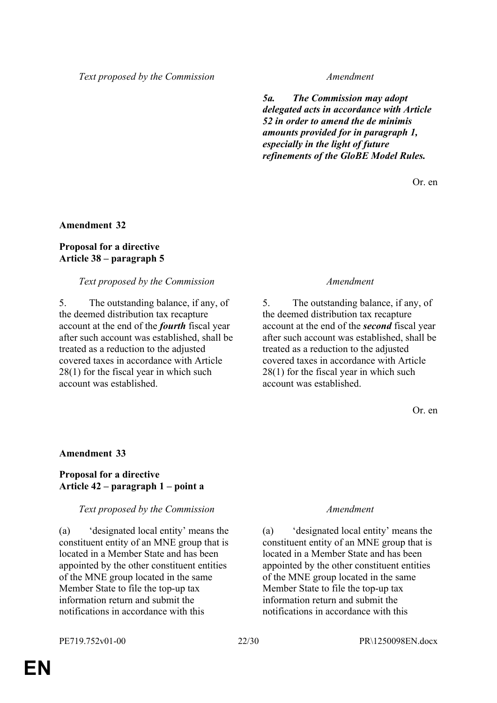*Text proposed by the Commission Amendment*

*5a. The Commission may adopt delegated acts in accordance with Article 52 in order to amend the de minimis amounts provided for in paragraph 1, especially in the light of future refinements of the GloBE Model Rules.*

Or. en

### **Amendment 32**

# **Proposal for a directive Article 38 – paragraph 5**

### *Text proposed by the Commission Amendment*

5. The outstanding balance, if any, of the deemed distribution tax recapture account at the end of the *fourth* fiscal year after such account was established, shall be treated as a reduction to the adjusted covered taxes in accordance with Article 28(1) for the fiscal year in which such account was established.

5. The outstanding balance, if any, of the deemed distribution tax recapture account at the end of the *second* fiscal year after such account was established, shall be treated as a reduction to the adjusted covered taxes in accordance with Article 28(1) for the fiscal year in which such account was established.

Or. en

### **Amendment 33**

# **Proposal for a directive Article 42 – paragraph 1 – point a**

### *Text proposed by the Commission Amendment*

(a) 'designated local entity' means the constituent entity of an MNE group that is located in a Member State and has been appointed by the other constituent entities of the MNE group located in the same Member State to file the top-up tax information return and submit the notifications in accordance with this

(a) 'designated local entity' means the constituent entity of an MNE group that is located in a Member State and has been appointed by the other constituent entities of the MNE group located in the same Member State to file the top-up tax information return and submit the notifications in accordance with this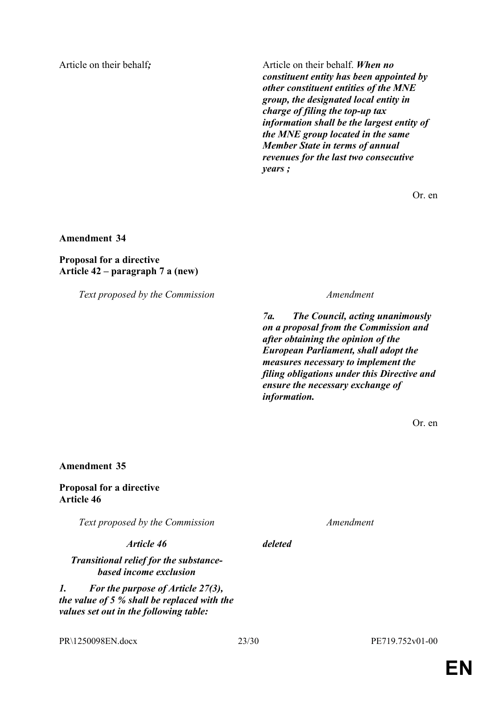Article on their behalf; Article on their behalf. *When no constituent entity has been appointed by other constituent entities of the MNE group, the designated local entity in charge of filing the top-up tax information shall be the largest entity of the MNE group located in the same Member State in terms of annual revenues for the last two consecutive years ;*

Or. en

**Amendment 34**

**Proposal for a directive Article 42 – paragraph 7 a (new)**

*Text proposed by the Commission Amendment*

*7a. The Council, acting unanimously on a proposal from the Commission and after obtaining the opinion of the European Parliament, shall adopt the measures necessary to implement the filing obligations under this Directive and ensure the necessary exchange of information.*

Or. en

**Amendment 35**

**Proposal for a directive Article 46**

*Text proposed by the Commission Amendment*

*Article 46 deleted*

*Transitional relief for the substancebased income exclusion*

*1. For the purpose of Article 27(3), the value of 5 % shall be replaced with the values set out in the following table:*

PR\1250098EN.docx 23/30 PE719.752v01-00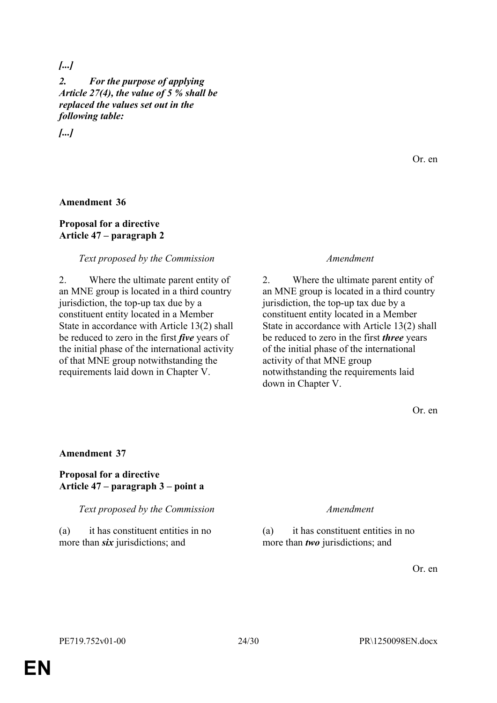# *[...]*

*2. For the purpose of applying Article 27(4), the value of 5 % shall be replaced the values set out in the following table:*

*[...]*

# **Amendment 36**

# **Proposal for a directive Article 47 – paragraph 2**

### *Text proposed by the Commission Amendment*

2. Where the ultimate parent entity of an MNE group is located in a third country jurisdiction, the top-up tax due by a constituent entity located in a Member State in accordance with Article 13(2) shall be reduced to zero in the first *five* years of the initial phase of the international activity of that MNE group notwithstanding the requirements laid down in Chapter V.

2. Where the ultimate parent entity of an MNE group is located in a third country jurisdiction, the top-up tax due by a constituent entity located in a Member State in accordance with Article 13(2) shall be reduced to zero in the first *three* years of the initial phase of the international activity of that MNE group notwithstanding the requirements laid down in Chapter V.

Or. en

Or. en

# **Amendment 37**

### **Proposal for a directive Article 47 – paragraph 3 – point a**

*Text proposed by the Commission Amendment*

(a) it has constituent entities in no more than *six* jurisdictions; and

(a) it has constituent entities in no more than *two* jurisdictions; and

Or. en

**EN**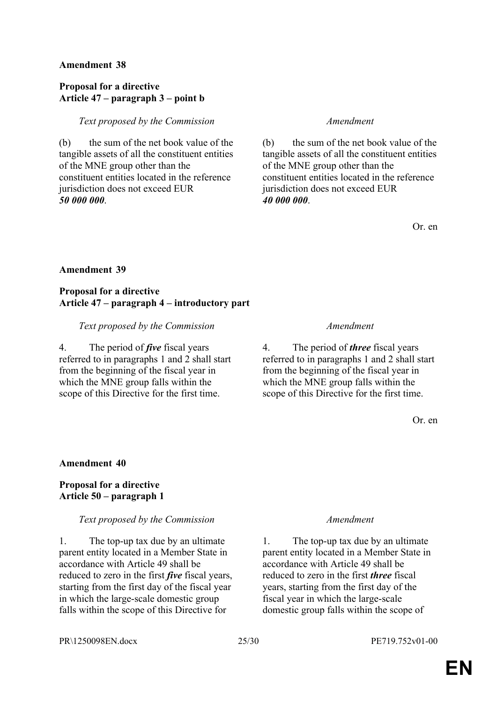# **Amendment 38**

# **Proposal for a directive Article 47 – paragraph 3 – point b**

## *Text proposed by the Commission Amendment*

(b) the sum of the net book value of the tangible assets of all the constituent entities of the MNE group other than the constituent entities located in the reference jurisdiction does not exceed EUR *50 000 000*.

(b) the sum of the net book value of the tangible assets of all the constituent entities of the MNE group other than the constituent entities located in the reference jurisdiction does not exceed EUR *40 000 000*.

Or. en

# **Amendment 39**

# **Proposal for a directive Article 47 – paragraph 4 – introductory part**

### *Text proposed by the Commission Amendment*

4. The period of *five* fiscal years referred to in paragraphs 1 and 2 shall start from the beginning of the fiscal year in which the MNE group falls within the scope of this Directive for the first time.

4. The period of *three* fiscal years referred to in paragraphs 1 and 2 shall start from the beginning of the fiscal year in which the MNE group falls within the scope of this Directive for the first time.

Or. en

### **Amendment 40**

### **Proposal for a directive Article 50 – paragraph 1**

### *Text proposed by the Commission Amendment*

1. The top-up tax due by an ultimate parent entity located in a Member State in accordance with Article 49 shall be reduced to zero in the first *five* fiscal years, starting from the first day of the fiscal year in which the large-scale domestic group falls within the scope of this Directive for

1. The top-up tax due by an ultimate parent entity located in a Member State in accordance with Article 49 shall be reduced to zero in the first *three* fiscal years, starting from the first day of the fiscal year in which the large-scale domestic group falls within the scope of

PR\1250098EN.docx 25/30 PE719.752v01-00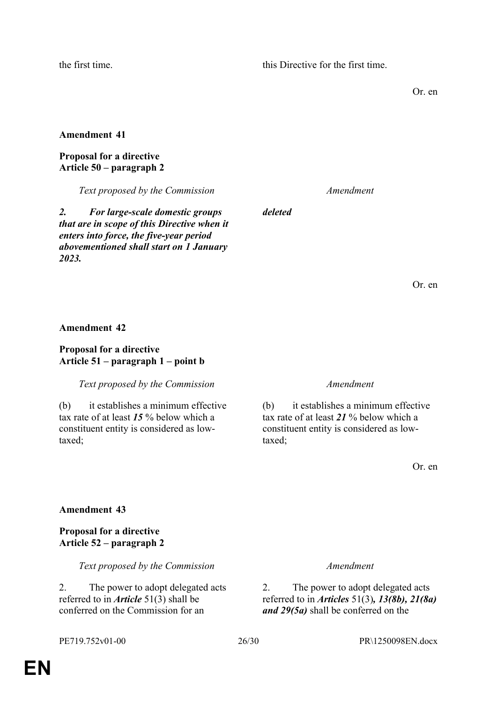the first time. this Directive for the first time.

Or. en

### **Amendment 41**

#### **Proposal for a directive Article 50 – paragraph 2**

*Text proposed by the Commission Amendment*

*deleted*

*2. For large-scale domestic groups that are in scope of this Directive when it enters into force, the five-year period abovementioned shall start on 1 January 2023.*

Or. en

#### **Amendment 42**

#### **Proposal for a directive Article 51 – paragraph 1 – point b**

### *Text proposed by the Commission Amendment*

(b) it establishes a minimum effective tax rate of at least *15* % below which a constituent entity is considered as lowtaxed;

(b) it establishes a minimum effective tax rate of at least *21* % below which a constituent entity is considered as lowtaxed;

Or. en

### **Amendment 43**

**Proposal for a directive Article 52 – paragraph 2**

*Text proposed by the Commission Amendment*

2. The power to adopt delegated acts referred to in *Article* 51(3) shall be conferred on the Commission for an

2. The power to adopt delegated acts referred to in *Articles* 51(3)*, 13(8b), 21(8a) and 29(5a)* shall be conferred on the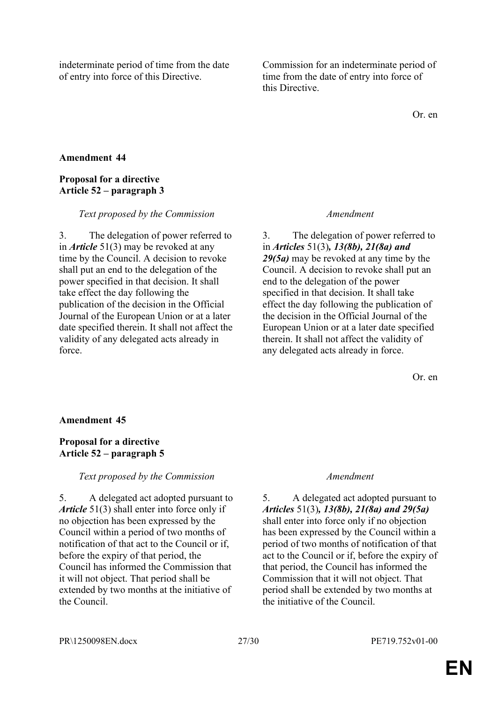indeterminate period of time from the date of entry into force of this Directive.

Commission for an indeterminate period of time from the date of entry into force of this Directive.

Or. en

# **Amendment 44**

# **Proposal for a directive Article 52 – paragraph 3**

### *Text proposed by the Commission Amendment*

3. The delegation of power referred to in *Article* 51(3) may be revoked at any time by the Council. A decision to revoke shall put an end to the delegation of the power specified in that decision. It shall take effect the day following the publication of the decision in the Official Journal of the European Union or at a later date specified therein. It shall not affect the validity of any delegated acts already in force.

3. The delegation of power referred to in *Articles* 51(3)*, 13(8b), 21(8a) and 29(5a)* may be revoked at any time by the Council. A decision to revoke shall put an end to the delegation of the power specified in that decision. It shall take effect the day following the publication of the decision in the Official Journal of the European Union or at a later date specified therein. It shall not affect the validity of any delegated acts already in force.

Or. en

### **Amendment 45**

# **Proposal for a directive Article 52 – paragraph 5**

### *Text proposed by the Commission Amendment*

5. A delegated act adopted pursuant to *Article* 51(3) shall enter into force only if no objection has been expressed by the Council within a period of two months of notification of that act to the Council or if, before the expiry of that period, the Council has informed the Commission that it will not object. That period shall be extended by two months at the initiative of the Council.

5. A delegated act adopted pursuant to *Articles* 51(3)*, 13(8b), 21(8a) and 29(5a)*  shall enter into force only if no objection has been expressed by the Council within a period of two months of notification of that act to the Council or if, before the expiry of that period, the Council has informed the Commission that it will not object. That period shall be extended by two months at the initiative of the Council.

PR\1250098EN.docx 27/30 PE719.752v01-00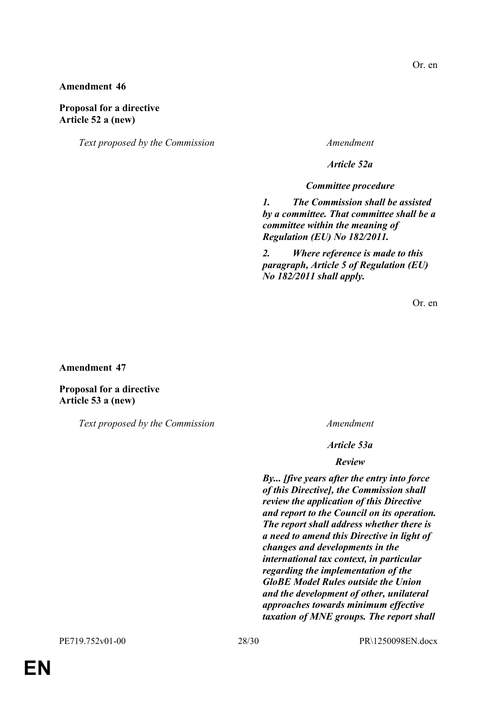# Or. en

## **Amendment 46**

### **Proposal for a directive Article 52 a (new)**

*Text proposed by the Commission Amendment*

*Article 52a*

*Committee procedure*

*1. The Commission shall be assisted by a committee. That committee shall be a committee within the meaning of Regulation (EU) No 182/2011.*

*2. Where reference is made to this paragraph, Article 5 of Regulation (EU) No 182/2011 shall apply.*

Or. en

**Amendment 47**

**Proposal for a directive Article 53 a (new)**

*Text proposed by the Commission Amendment*

*Article 53a*

#### *Review*

*By... [five years after the entry into force of this Directive], the Commission shall review the application of this Directive and report to the Council on its operation. The report shall address whether there is a need to amend this Directive in light of changes and developments in the international tax context, in particular regarding the implementation of the GloBE Model Rules outside the Union and the development of other, unilateral approaches towards minimum effective taxation of MNE groups. The report shall*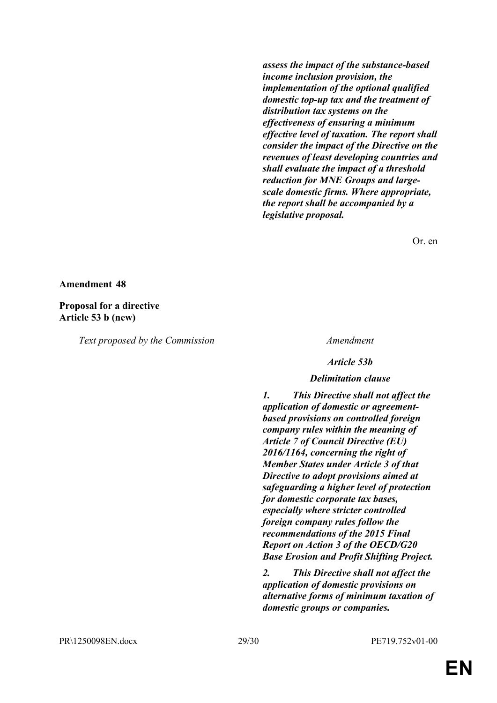*assess the impact of the substance-based income inclusion provision, the implementation of the optional qualified domestic top-up tax and the treatment of distribution tax systems on the effectiveness of ensuring a minimum effective level of taxation. The report shall consider the impact of the Directive on the revenues of least developing countries and shall evaluate the impact of a threshold reduction for MNE Groups and largescale domestic firms. Where appropriate, the report shall be accompanied by a legislative proposal.*

Or. en

#### **Amendment 48**

#### **Proposal for a directive Article 53 b (new)**

*Text proposed by the Commission Amendment*

*Article 53b*

#### *Delimitation clause*

*1. This Directive shall not affect the application of domestic or agreementbased provisions on controlled foreign company rules within the meaning of Article 7 of Council Directive (EU) 2016/1164, concerning the right of Member States under Article 3 of that Directive to adopt provisions aimed at safeguarding a higher level of protection for domestic corporate tax bases, especially where stricter controlled foreign company rules follow the recommendations of the 2015 Final Report on Action 3 of the OECD/G20 Base Erosion and Profit Shifting Project.*

*2. This Directive shall not affect the application of domestic provisions on alternative forms of minimum taxation of domestic groups or companies.*